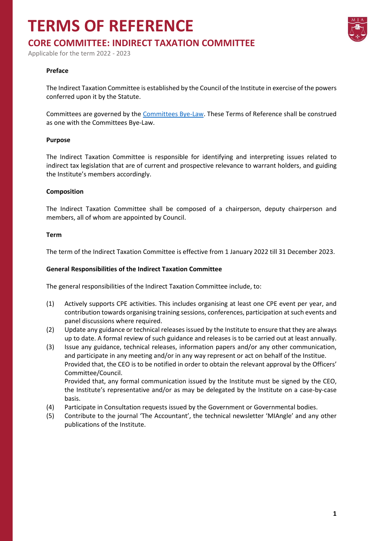# **TERMS OF REFERENCE**



Applicable for the term 2022 - 2023

### **Preface**

The Indirect Taxation Committee is established by the Council of the Institute in exercise of the powers conferred upon it by the Statute.

Committees are governed by the [Committees Bye-Law.](https://www.miamalta.org/Statute-and-Bye-Laws) These Terms of Reference shall be construed as one with the Committees Bye-Law.

#### **Purpose**

The Indirect Taxation Committee is responsible for identifying and interpreting issues related to indirect tax legislation that are of current and prospective relevance to warrant holders, and guiding the Institute's members accordingly.

#### **Composition**

The Indirect Taxation Committee shall be composed of a chairperson, deputy chairperson and members, all of whom are appointed by Council.

#### **Term**

The term of the Indirect Taxation Committee is effective from 1 January 2022 till 31 December 2023.

#### **General Responsibilities of the Indirect Taxation Committee**

The general responsibilities of the Indirect Taxation Committee include, to:

- (1) Actively supports CPE activities. This includes organising at least one CPE event per year, and contribution towards organising training sessions, conferences, participation at such events and panel discussions where required.
- (2) Update any guidance or technical releases issued by the Institute to ensure that they are always up to date. A formal review of such guidance and releases is to be carried out at least annually.
- (3) Issue any guidance, technical releases, information papers and/or any other communication, and participate in any meeting and/or in any way represent or act on behalf of the Institue. Provided that, the CEO is to be notified in order to obtain the relevant approval by the Officers' Committee/Council.

Provided that, any formal communication issued by the Institute must be signed by the CEO, the Institute's representative and/or as may be delegated by the Institute on a case-by-case basis.

- (4) Participate in Consultation requests issued by the Government or Governmental bodies.
- (5) Contribute to the journal 'The Accountant', the technical newsletter 'MIAngle' and any other publications of the Institute.